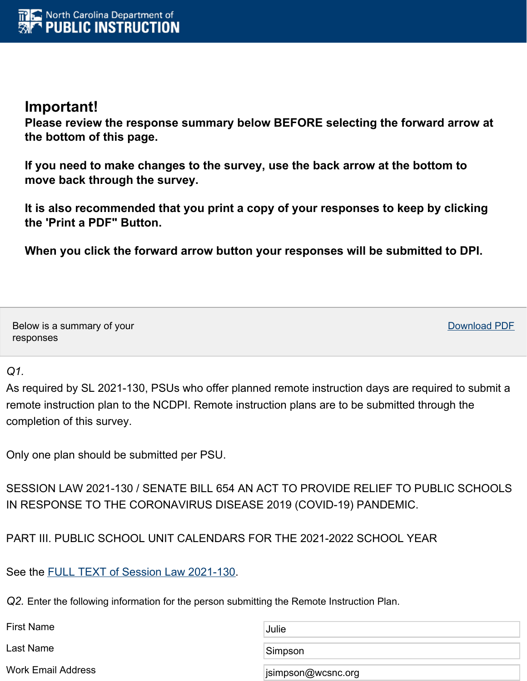# **Important!**

**Please review the response summary below BEFORE selecting the forward arrow at the bottom of this page.**

**If you need to make changes to the survey, use the back arrow at the bottom to move back through the survey.**

**It is also recommended that you print a copy of your responses to keep by clicking the 'Print a PDF" Button.**

**When you click the forward arrow button your responses will be submitted to DPI.**

Below is a summary of your responses

Download PDF

#### *Q1.*

As required by SL 2021-130, PSUs who offer planned remote instruction days are required to submit a remote instruction plan to the NCDPI. Remote instruction plans are to be submitted through the completion of this survey.

Only one plan should be submitted per PSU.

SESSION LAW 2021-130 / SENATE BILL 654 AN ACT TO PROVIDE RELIEF TO PUBLIC SCHOOLS IN RESPONSE TO THE CORONAVIRUS DISEASE 2019 (COVID-19) PANDEMIC.

PART III. PUBLIC SCHOOL UNIT CALENDARS FOR THE 2021-2022 SCHOOL YEAR

See the FULL TEXT of Session Law [2021-130](https://www.ncleg.gov/Sessions/2021/Bills/Senate/PDF/S654v7.pdf).

*Q2.* Enter the following information for the person submitting the Remote Instruction Plan.

| First Name         | Julie              |
|--------------------|--------------------|
| Last Name          | Simpson            |
| Work Email Address | jsimpson@wcsnc.org |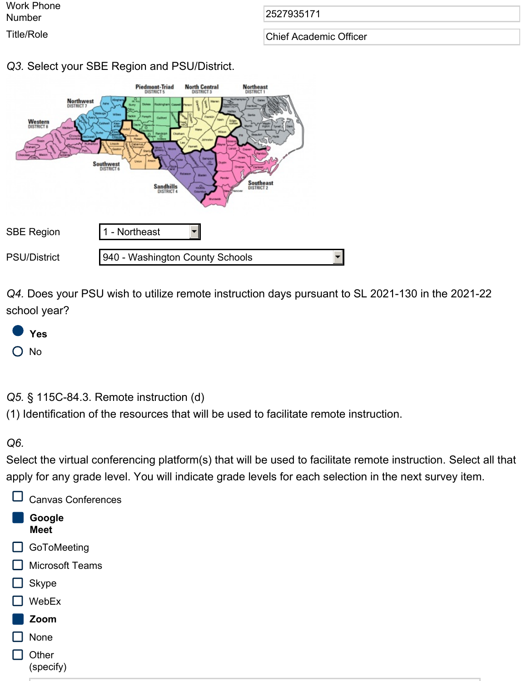| Work Phone         |
|--------------------|
| Number             |
| THE <b>IN</b> . I. |

2527935171

#### Title/Role Chief Academic Officer

## *Q3.* Select your SBE Region and PSU/District.



*Q4.* Does your PSU wish to utilize remote instruction days pursuant to SL 2021-130 in the 2021-22 school year?



*Q5.* § 115C-84.3. Remote instruction (d)

(1) Identification of the resources that will be used to facilitate remote instruction.

*Q6.*

Select the virtual conferencing platform(s) that will be used to facilitate remote instruction. Select all that apply for any grade level. You will indicate grade levels for each selection in the next survey item.

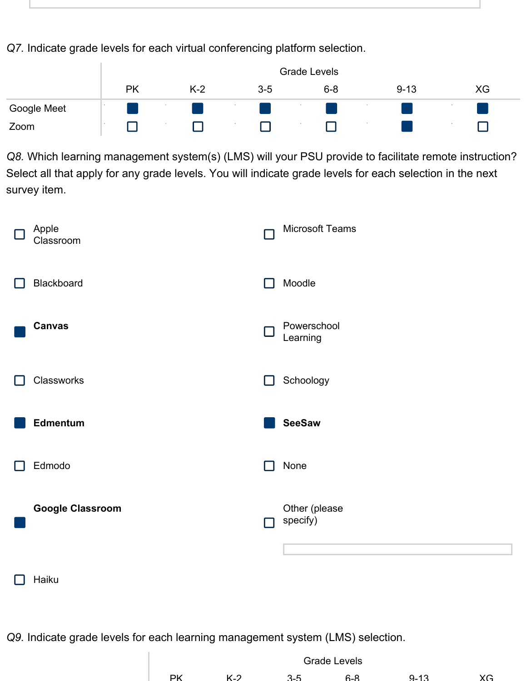*Q7.* Indicate grade levels for each virtual conferencing platform selection.

|             |           | Grade Levels |         |         |          |    |  |  |  |
|-------------|-----------|--------------|---------|---------|----------|----|--|--|--|
|             | <b>PK</b> | $K-2$        | $3 - 5$ | $6 - 8$ | $9 - 13$ | XG |  |  |  |
| Google Meet |           |              |         |         |          |    |  |  |  |
| Zoom        | 1997      |              |         |         |          |    |  |  |  |

*Q8.* Which learning management system(s) (LMS) will your PSU provide to facilitate remote instruction? Select all that apply for any grade levels. You will indicate grade levels for each selection in the next survey item.

| Apple<br>Classroom      |     | <b>Microsoft Teams</b>    |
|-------------------------|-----|---------------------------|
| Blackboard              |     | Moodle                    |
| Canvas                  | - 1 | Powerschool<br>Learning   |
| Classworks              | Ι.  | Schoology                 |
| Edmentum                |     | <b>SeeSaw</b>             |
| Edmodo                  |     | None                      |
| <b>Google Classroom</b> |     | Other (please<br>specify) |
|                         |     |                           |

Haiku

*Q9.* Indicate grade levels for each learning management system (LMS) selection.

| <b>Grade Levels</b> |                                         |                |     |                 |  |  |  |  |  |
|---------------------|-----------------------------------------|----------------|-----|-----------------|--|--|--|--|--|
| שם                  | $\overline{\phantom{a}}$<br><b>K</b> -, | . .<br>. n – r | ና-ክ | $\Lambda$<br>ч- |  |  |  |  |  |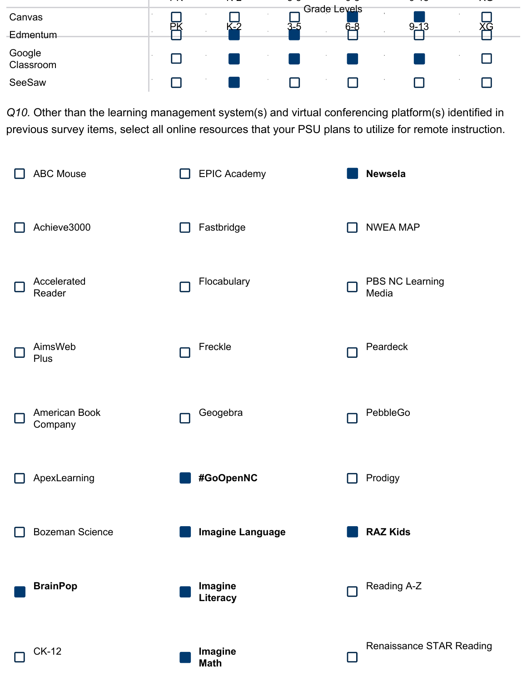|                     | —<br>—     |      | ╍ |    | --  |                     | ō   | ᆓ    | $\overline{\phantom{a}}$ |  |
|---------------------|------------|------|---|----|-----|---------------------|-----|------|--------------------------|--|
| Canvas              | - 10       |      |   |    |     | <b>Grade Levels</b> |     |      |                          |  |
| Edmentum            | <b>COL</b> |      |   |    | 3-5 |                     | 6-8 | 9-13 |                          |  |
| Google<br>Classroom | - 10       |      |   | л. |     |                     |     |      |                          |  |
| SeeSaw              | - 10       | - 11 |   |    |     |                     |     |      |                          |  |

*Q10.* Other than the learning management system(s) and virtual conferencing platform(s) identified in previous survey items, select all online resources that your PSU plans to utilize for remote instruction.

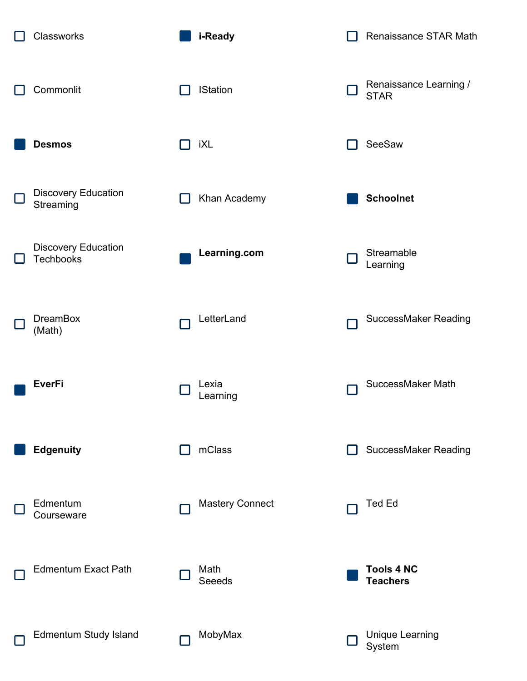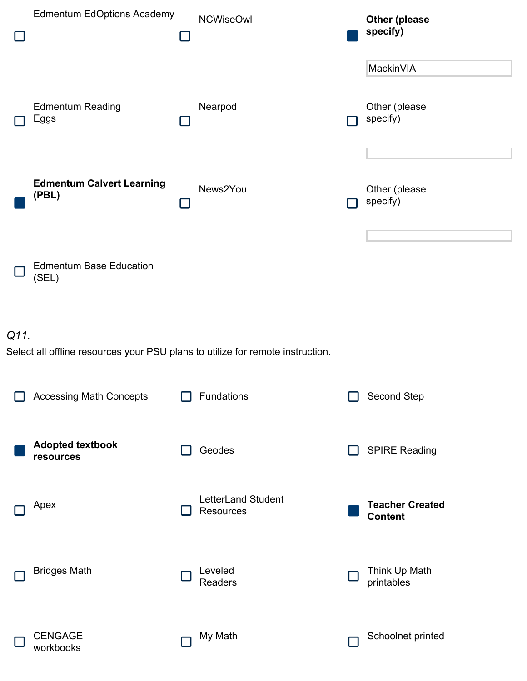|      | <b>Edmentum EdOptions Academy</b>                                              | <b>NCWiseOwl</b>                |    | <b>Other (please</b><br>specify)<br>MackinVIA |
|------|--------------------------------------------------------------------------------|---------------------------------|----|-----------------------------------------------|
|      | <b>Edmentum Reading</b><br>Eggs                                                | Nearpod                         |    | Other (please<br>specify)                     |
|      | <b>Edmentum Calvert Learning</b><br>(PBL)                                      | News2You                        |    | Other (please<br>specify)                     |
|      | <b>Edmentum Base Education</b><br>(SEL)                                        |                                 |    |                                               |
| Q11. | Select all offline resources your PSU plans to utilize for remote instruction. |                                 |    |                                               |
|      | <b>Accessing Math Concepts</b>                                                 | Fundations                      |    | Second Step                                   |
|      | <b>Adopted textbook</b><br>resources                                           | Geodes                          | I. | <b>SPIRE Reading</b>                          |
|      |                                                                                |                                 |    |                                               |
|      | Apex                                                                           | LetterLand Student<br>Resources |    | <b>Teacher Created</b><br><b>Content</b>      |
|      | <b>Bridges Math</b>                                                            | Leveled<br>Readers              | 囗  | Think Up Math<br>printables                   |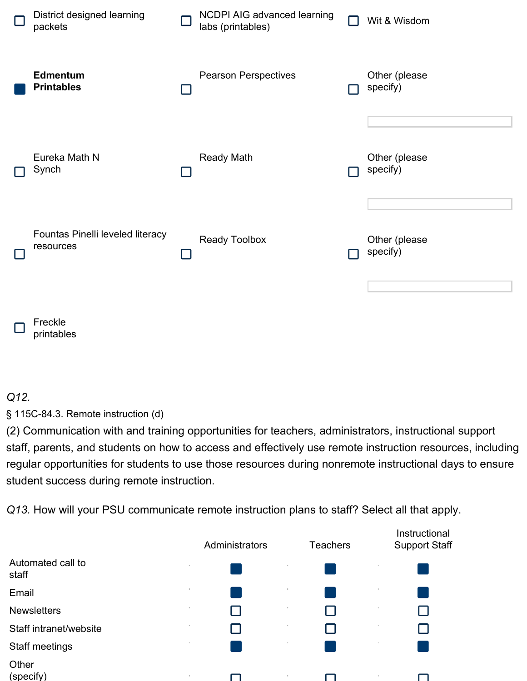| District designed learning<br>packets         |     | <b>NCDPI AIG advanced learning</b><br>labs (printables) | Wit & Wisdom              |
|-----------------------------------------------|-----|---------------------------------------------------------|---------------------------|
| <b>Edmentum</b><br><b>Printables</b>          | - 1 | <b>Pearson Perspectives</b>                             | Other (please<br>specify) |
| Eureka Math N<br>Synch                        |     | <b>Ready Math</b>                                       | Other (please<br>specify) |
| Fountas Pinelli leveled literacy<br>resources |     | Ready Toolbox                                           | Other (please<br>specify) |
| $\Box$ Freckle                                |     |                                                         |                           |

## *Q12.*

§ 115C-84.3. Remote instruction (d)

printables

(2) Communication with and training opportunities for teachers, administrators, instructional support staff, parents, and students on how to access and effectively use remote instruction resources, including regular opportunities for students to use those resources during nonremote instructional days to ensure student success during remote instruction.

*Q13.* How will your PSU communicate remote instruction plans to staff? Select all that apply.

|                            |          | Administrators |          | <b>Teachers</b> |          | Instructional<br><b>Support Staff</b> |
|----------------------------|----------|----------------|----------|-----------------|----------|---------------------------------------|
| Automated call to<br>staff | $\sim$   |                | <b>A</b> |                 |          |                                       |
| Email                      | <b>A</b> |                | 14.      |                 | ×.       |                                       |
| <b>Newsletters</b>         | 19.      |                | ×.       |                 | ×.       |                                       |
| Staff intranet/website     | 19.      |                | ×.       |                 | ×.       |                                       |
| Staff meetings             | 19.      |                | 14.      |                 | $\alpha$ |                                       |
| Other<br>(specify)         | 19.      |                |          |                 |          |                                       |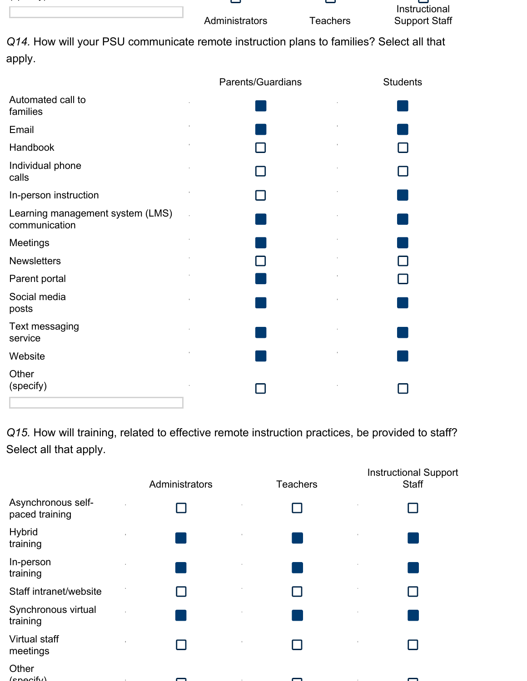| ۰<br>-<br> |  |
|------------|--|

Administrators Teachers

پ

پ



*Q14.* How will your PSU communicate remote instruction plans to families? Select all that apply.

|                                                   | Parents/Guardians | <b>Students</b> |
|---------------------------------------------------|-------------------|-----------------|
| Automated call to<br>families                     |                   |                 |
| Email                                             |                   |                 |
| Handbook                                          |                   |                 |
| Individual phone<br>calls                         |                   |                 |
| In-person instruction                             |                   |                 |
| Learning management system (LMS)<br>communication |                   |                 |
| Meetings                                          |                   |                 |
| <b>Newsletters</b>                                |                   |                 |
| Parent portal                                     |                   |                 |
| Social media<br>posts                             |                   |                 |
| Text messaging<br>service                         |                   |                 |
| Website                                           |                   |                 |
| Other<br>(specify)                                |                   |                 |
|                                                   |                   |                 |

*Q15.* How will training, related to effective remote instruction practices, be provided to staff? Select all that apply.

|                                      | Administrators | <b>Teachers</b> | <b>Instructional Support</b><br><b>Staff</b> |
|--------------------------------------|----------------|-----------------|----------------------------------------------|
| Asynchronous self-<br>paced training |                |                 |                                              |
| Hybrid<br>training                   |                |                 |                                              |
| In-person<br>training                |                |                 |                                              |
| Staff intranet/website               |                |                 |                                              |
| Synchronous virtual<br>training      |                |                 |                                              |
| Virtual staff<br>meetings            |                |                 |                                              |
| Other<br>$\frac{1}{2}$               |                |                 |                                              |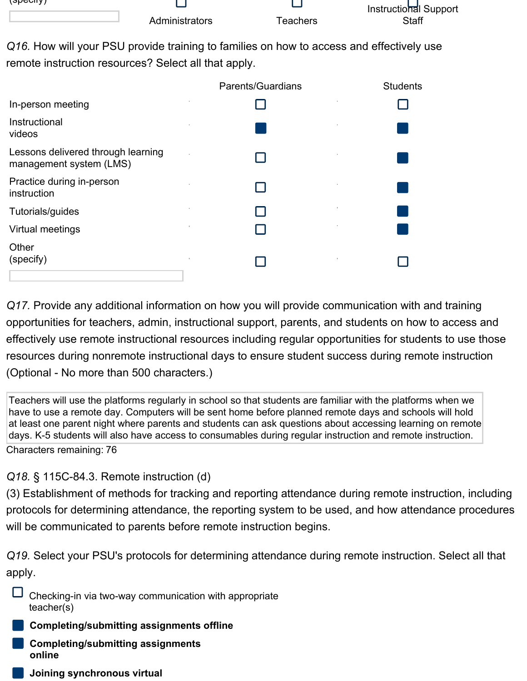| <del>(ppecify)</del> |                |         | Instructional Support |
|----------------------|----------------|---------|-----------------------|
|                      | Administrators | eachers | Staff                 |

*Q16.* How will your PSU provide training to families on how to access and effectively use remote instruction resources? Select all that apply.

|                                                               | Parents/Guardians | <b>Students</b> |
|---------------------------------------------------------------|-------------------|-----------------|
| In-person meeting                                             |                   |                 |
| Instructional<br>videos                                       |                   |                 |
| Lessons delivered through learning<br>management system (LMS) |                   |                 |
| Practice during in-person<br>instruction                      |                   |                 |
| Tutorials/guides                                              |                   |                 |
| Virtual meetings                                              |                   |                 |
| Other<br>(specify)                                            |                   |                 |

*Q17.* Provide any additional information on how you will provide communication with and training opportunities for teachers, admin, instructional support, parents, and students on how to access and effectively use remote instructional resources including regular opportunities for students to use those resources during nonremote instructional days to ensure student success during remote instruction (Optional - No more than 500 characters.)

Teachers will use the platforms regularly in school so that students are familiar with the platforms when we have to use a remote day. Computers will be sent home before planned remote days and schools will hold at least one parent night where parents and students can ask questions about accessing learning on remote days. K-5 students will also have access to consumables during regular instruction and remote instruction. Characters remaining: 76

## *Q18.* § 115C-84.3. Remote instruction (d)

(3) Establishment of methods for tracking and reporting attendance during remote instruction, including protocols for determining attendance, the reporting system to be used, and how attendance procedures will be communicated to parents before remote instruction begins.

*Q19.* Select your PSU's protocols for determining attendance during remote instruction. Select all that apply.

- $\square$  Checking-in via two-way communication with appropriate teacher(s)
- **Completing/submitting assignments offline**
- **Completing/submitting assignments online**

**Joining synchronous virtual**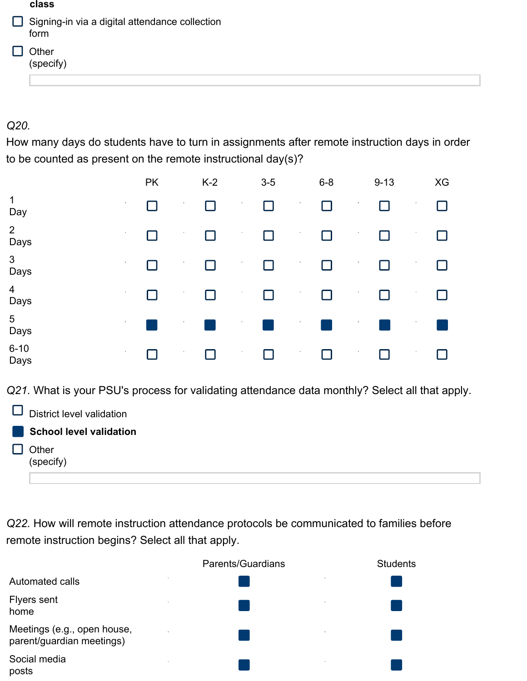|   | class                                                  |
|---|--------------------------------------------------------|
| Ш | Signing-in via a digital attendance collection<br>form |
|   | Other<br>(specify)                                     |
|   |                                                        |

# *Q20.*

How many days do students have to turn in assignments after remote instruction days in order to be counted as present on the remote instructional day(s)?

|                                  |                 | <b>PK</b> |         | $K-2$                                   |          | $3-5$                  |         | $6 - 8$                |        | $9 - 13$ |        | XG |
|----------------------------------|-----------------|-----------|---------|-----------------------------------------|----------|------------------------|---------|------------------------|--------|----------|--------|----|
| $\mathbf{1}$<br>Day              | $\mathbf{H}$ .  | $\Box$    | $\,$    | $\mathsf{L}$                            | $\alpha$ | $\Box$                 | $\,$    | П                      |        |          | $\,$   |    |
| 2<br>Days                        | $\cdot$         |           | $\cdot$ | $\mathsf{L}$                            | ٠        | П                      | $\cdot$ | П                      |        |          |        |    |
| 3<br>Days                        | $\mathcal{A}$ . |           | $\,$    | П                                       | $\alpha$ | П                      | $\sim$  | П                      | $\,$   |          | $\,$   |    |
| $\overline{\mathcal{A}}$<br>Days | $\mathcal{A}$ . | П         | $\sim$  | П                                       | $\sim$   | П                      | $\cdot$ | П                      | $\sim$ |          | 11     |    |
| $\overline{5}$<br>Days           | $\mathcal{A}$ . |           | $\cdot$ | $\mathcal{L}^{\text{max}}_{\text{max}}$ | $\alpha$ | <b>Service Service</b> | $\sim$  | <b>Service Service</b> | $\sim$ |          | $\sim$ |    |
| $6 - 10$<br>Days                 | $\sim$          |           | 11      | П                                       | $\sim$   |                        | $\sim$  | П                      | $\sim$ |          | 11     |    |

*Q21.* What is your PSU's process for validating attendance data monthly? Select all that apply.

| ⊔                      | District level validation |
|------------------------|---------------------------|
| <b>Service Service</b> | School level validation   |
|                        | Other<br>(specify)        |
|                        |                           |

*Q22.* How will remote instruction attendance protocols be communicated to families before remote instruction begins? Select all that apply.

|                                                          |                          | Parents/Guardians | <b>Students</b> |
|----------------------------------------------------------|--------------------------|-------------------|-----------------|
| Automated calls                                          | $\overline{\phantom{a}}$ |                   |                 |
| Flyers sent<br>home                                      | $\mathbf{r}$             |                   |                 |
| Meetings (e.g., open house,<br>parent/guardian meetings) |                          |                   |                 |
| Social media<br>posts                                    |                          |                   |                 |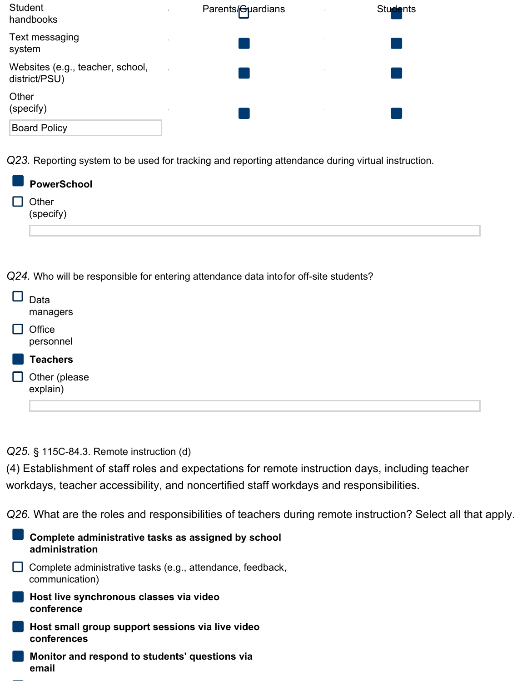| <b>Student</b><br>handbooks                       |              | Parents/ <b>Guardians</b> | Students |
|---------------------------------------------------|--------------|---------------------------|----------|
| Text messaging<br>system                          | ×.           |                           |          |
| Websites (e.g., teacher, school,<br>district/PSU) |              |                           |          |
| Other<br>(specify)                                | $\mathbf{r}$ |                           |          |
| <b>Board Policy</b>                               |              |                           |          |

*Q23.* Reporting system to be used for tracking and reporting attendance during virtual instruction.

| PowerSchool                                 |
|---------------------------------------------|
| Other<br>$\overline{\phantom{a}}$ (specify) |
|                                             |

*Q24.* Who will be responsible for entering attendance data intofor off-site students?

|                | Data<br>managers          |
|----------------|---------------------------|
|                | Office<br>personnel       |
|                | <b>Teachers</b>           |
| $\mathbb{R}^n$ | Other (please<br>explain) |
|                |                           |

*Q25.* § 115C-84.3. Remote instruction (d)

(4) Establishment of staff roles and expectations for remote instruction days, including teacher workdays, teacher accessibility, and noncertified staff workdays and responsibilities.

*Q26.* What are the roles and responsibilities of teachers during remote instruction? Select all that apply.

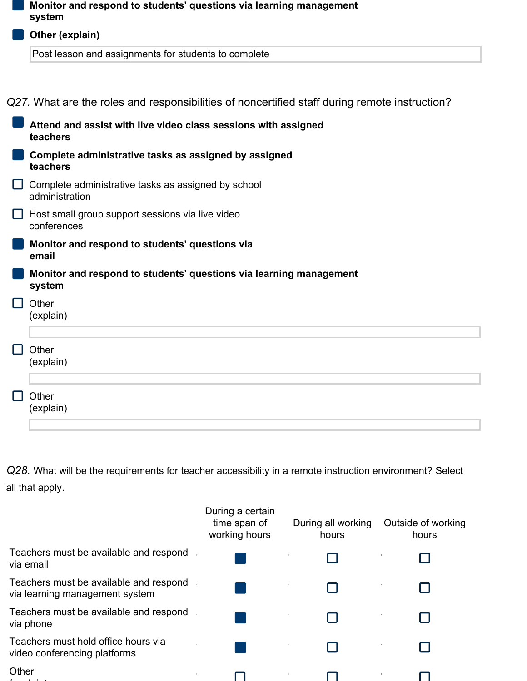| Monitor and respond to students' questions via learning management |  |
|--------------------------------------------------------------------|--|
| system                                                             |  |

| Other (explain) |  |
|-----------------|--|
|                 |  |

Post lesson and assignments for students to complete

| Q27. What are the roles and responsibilities of noncertified staff during remote instruction? |
|-----------------------------------------------------------------------------------------------|
| Attend and assist with live video class sessions with assigned<br>teachers                    |
| Complete administrative tasks as assigned by assigned<br>teachers                             |
| Complete administrative tasks as assigned by school<br>administration                         |
| Host small group support sessions via live video<br>conferences                               |
| Monitor and respond to students' questions via<br>email                                       |
| Monitor and respond to students' questions via learning management<br>system                  |
| Other<br>(explain)                                                                            |
|                                                                                               |
| Other<br>(explain)                                                                            |
|                                                                                               |
|                                                                                               |
| Other<br>(explain)                                                                            |

*Q28.* What will be the requirements for teacher accessibility in a remote instruction environment? Select all that apply.

|                                                                          | During a certain<br>time span of<br>working hours | During all working<br>hours | Outside of working<br>hours |
|--------------------------------------------------------------------------|---------------------------------------------------|-----------------------------|-----------------------------|
| Teachers must be available and respond<br>via email                      |                                                   |                             |                             |
| Teachers must be available and respond<br>via learning management system |                                                   |                             |                             |
| Teachers must be available and respond<br>via phone                      |                                                   |                             |                             |
| Teachers must hold office hours via<br>video conferencing platforms      |                                                   |                             |                             |
| Other                                                                    |                                                   |                             |                             |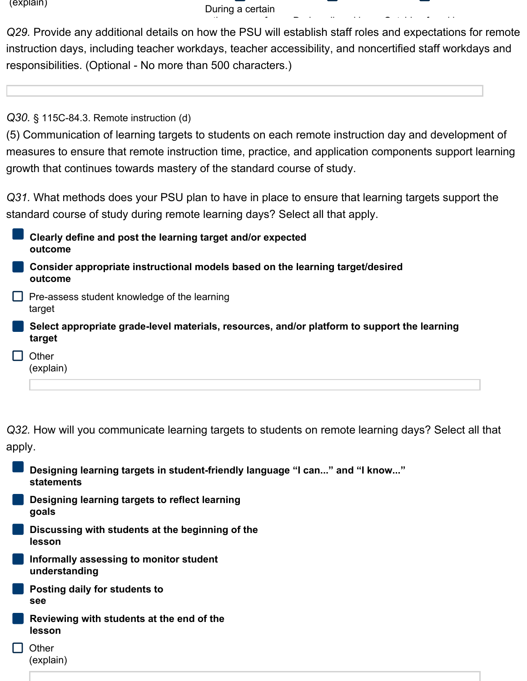

*Q29.* Provide any additional details on how the PSU will establish staff roles and expectations for remote instruction days, including teacher workdays, teacher accessibility, and noncertified staff workdays and responsibilities. (Optional - No more than 500 characters.) time span of During all working Outside of working

*Q30.* § 115C-84.3. Remote instruction (d)

(5) Communication of learning targets to students on each remote instruction day and development of measures to ensure that remote instruction time, practice, and application components support learning growth that continues towards mastery of the standard course of study.

*Q31.* What methods does your PSU plan to have in place to ensure that learning targets support the standard course of study during remote learning days? Select all that apply.

| Clearly define and post the learning target and/or expected<br>outcome                                 |
|--------------------------------------------------------------------------------------------------------|
| Consider appropriate instructional models based on the learning target/desired<br>outcome              |
| Pre-assess student knowledge of the learning<br>target                                                 |
| Select appropriate grade-level materials, resources, and/or platform to support the learning<br>target |
| Other<br>(explain)                                                                                     |
|                                                                                                        |

*Q32.* How will you communicate learning targets to students on remote learning days? Select all that apply.

| Designing learning targets in student-friendly language "I can" and "I know"<br>statements |
|--------------------------------------------------------------------------------------------|
| Designing learning targets to reflect learning<br>qoals                                    |

- **Discussing with students at the beginning of the lesson**
- **Informally assessing to monitor student understanding**
- **Posting daily for students to see**
- **Reviewing with students at the end of the lesson**
- **Other** (explain)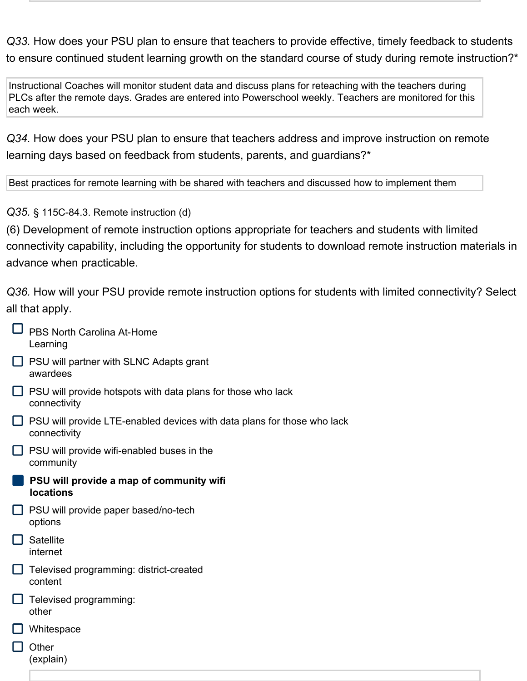*Q33.* How does your PSU plan to ensure that teachers to provide effective, timely feedback to students to ensure continued student learning growth on the standard course of study during remote instruction?\*

Instructional Coaches will monitor student data and discuss plans for reteaching with the teachers during PLCs after the remote days. Grades are entered into Powerschool weekly. Teachers are monitored for this each week.

*Q34.* How does your PSU plan to ensure that teachers address and improve instruction on remote learning days based on feedback from students, parents, and guardians?\*

Best practices for remote learning with be shared with teachers and discussed how to implement them

*Q35.* § 115C-84.3. Remote instruction (d)

(6) Development of remote instruction options appropriate for teachers and students with limited connectivity capability, including the opportunity for students to download remote instruction materials in advance when practicable.

*Q36.* How will your PSU provide remote instruction options for students with limited connectivity? Select all that apply.

- PBS North Carolina At-Home Learning
- **PSU will partner with SLNC Adapts grant** awardees
- $\Box$  PSU will provide hotspots with data plans for those who lack connectivity
- $\Box$  PSU will provide LTE-enabled devices with data plans for those who lack connectivity
- $\Box$  PSU will provide wifi-enabled buses in the community
- **PSU will provide a map of community wifi locations**
- **PSU** will provide paper based/no-tech options
- $\Box$  Satellite internet
- Televised programming: district-created content
- $\Box$  Televised programming: other
- Whitespace
- **Other** (explain)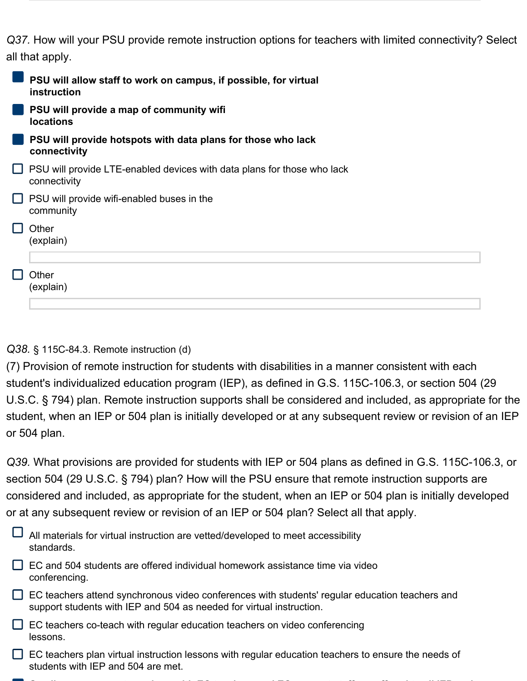*Q37.* How will your PSU provide remote instruction options for teachers with limited connectivity? Select all that apply.

|    | PSU will allow staff to work on campus, if possible, for virtual<br>instruction         |
|----|-----------------------------------------------------------------------------------------|
|    | PSU will provide a map of community wifi<br><b>locations</b>                            |
|    | PSU will provide hotspots with data plans for those who lack<br>connectivity            |
|    | PSU will provide LTE-enabled devices with data plans for those who lack<br>connectivity |
| LТ | PSU will provide wifi-enabled buses in the<br>community                                 |
|    | Other<br>(explain)                                                                      |
|    | Other<br>(explain)                                                                      |

#### *Q38.* § 115C-84.3. Remote instruction (d)

(7) Provision of remote instruction for students with disabilities in a manner consistent with each student's individualized education program (IEP), as defined in G.S. 115C-106.3, or section 504 (29 U.S.C. § 794) plan. Remote instruction supports shall be considered and included, as appropriate for the student, when an IEP or 504 plan is initially developed or at any subsequent review or revision of an IEP or 504 plan.

*Q39.* What provisions are provided for students with IEP or 504 plans as defined in G.S. 115C-106.3, or section 504 (29 U.S.C. § 794) plan? How will the PSU ensure that remote instruction supports are considered and included, as appropriate for the student, when an IEP or 504 plan is initially developed or at any subsequent review or revision of an IEP or 504 plan? Select all that apply.

| All materials for virtual instruction are vetted/developed to meet accessibility<br>standards.                                                                         |
|------------------------------------------------------------------------------------------------------------------------------------------------------------------------|
| EC and 504 students are offered individual homework assistance time via video<br>conferencing.                                                                         |
| EC teachers attend synchronous video conferences with students' regular education teachers and<br>support students with IEP and 504 as needed for virtual instruction. |
| EC teachers co-teach with regular education teachers on video conferencing<br>lessons.                                                                                 |
| EC teachers plan virtual instruction lessons with regular education teachers to ensure the needs of<br>students with IEP and 504 are met.                              |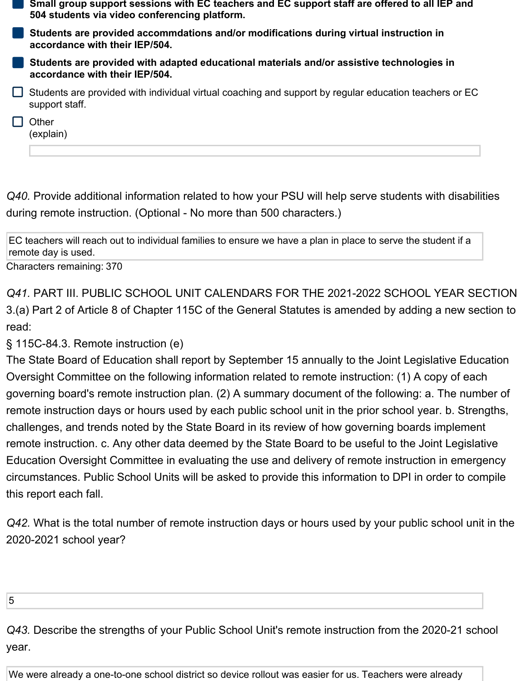| Small group support sessions with EC teachers and EC support staff are offered to all IEP and<br>504 students via video conferencing platform. |
|------------------------------------------------------------------------------------------------------------------------------------------------|
| Students are provided accommdations and/or modifications during virtual instruction in<br>accordance with their IEP/504.                       |
| Students are provided with adapted educational materials and/or assistive technologies in<br>accordance with their IEP/504.                    |
| Students are provided with individual virtual coaching and support by regular education teachers or EC<br>support staff.                       |
| Other<br>(explain)                                                                                                                             |
|                                                                                                                                                |

*Q40.* Provide additional information related to how your PSU will help serve students with disabilities during remote instruction. (Optional - No more than 500 characters.)

EC teachers will reach out to individual families to ensure we have a plan in place to serve the student if a remote day is used.

Characters remaining: 370

*Q41.* PART III. PUBLIC SCHOOL UNIT CALENDARS FOR THE 2021-2022 SCHOOL YEAR SECTION 3.(a) Part 2 of Article 8 of Chapter 115C of the General Statutes is amended by adding a new section to read:

§ 115C-84.3. Remote instruction (e)

The State Board of Education shall report by September 15 annually to the Joint Legislative Education Oversight Committee on the following information related to remote instruction: (1) A copy of each governing board's remote instruction plan. (2) A summary document of the following: a. The number of remote instruction days or hours used by each public school unit in the prior school year. b. Strengths, challenges, and trends noted by the State Board in its review of how governing boards implement remote instruction. c. Any other data deemed by the State Board to be useful to the Joint Legislative Education Oversight Committee in evaluating the use and delivery of remote instruction in emergency circumstances. Public School Units will be asked to provide this information to DPI in order to compile this report each fall.

*Q42.* What is the total number of remote instruction days or hours used by your public school unit in the 2020-2021 school year?

#### 5

*Q43.* Describe the strengths of your Public School Unit's remote instruction from the 2020-21 school year.

We were already a one-to-one school district so device rollout was easier for us. Teachers were already